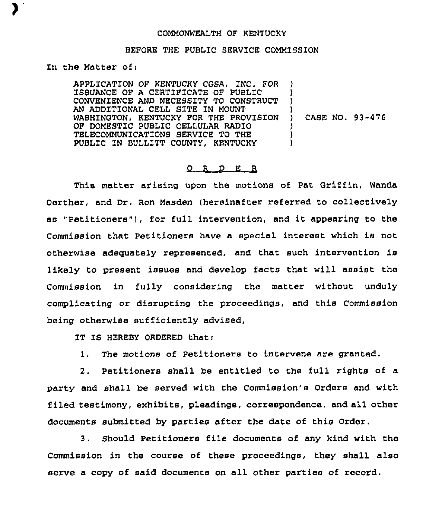## COMMONWEALTH OF KENTUCKY

## BEFORE THE PUBLIC SERVICE COMMISSION

In the Matter of:

APPLICATION OF KENTUCKY CGSA, INC. FOR ISSUANCE OF A CERTIFICATE OF PUBLIC CONVENIENCE AND NECESSITY TO CONSTRUCT AN ADDITIONAL CELL SITE IN MOUNT WASHINGTON, KENTUCKY FOR THE PROVISION ) CASE NO. 93-476 OF DOMESTIC PUBLIC CELLULAR RADIO TELECOMMUNICATIONS SERVICE TO THE PUBLIC 1N BULLITT COUNTY, KENTUCKY ) ) ) )

## O R D E R

This matter arising upon the motions of Pat Griffin, Wanda Oerther, and Dr. Ron Masden (hereinafter referred to collectively as "Petitioners" ), for full intervention, and it appearing to the Commission that Petitioners have a special interest which is not otherwise adequately represented, and that such intervention is likely to present issues and develop facts that will assist the Commission in fully considering the matter without unduly complicating or disrupting the proceedings, and this Commission being otherwise sufficiently advised,

IT IS HEREBY ORDERED that:

1. The motions of Petitioners to intervene are granted.

2. Petitioners shall be entitled to the full rights of a party and shall be served with the Commission's Orders and with filed testimony, exhibits, pleadings, correspondence, and all other documents submitted by parties after the date of this Order.

3. Should Petitioners file documents of any kind with the Commission in the course of these proceedings, they shall also serve a copy of said documents on all other parties of record.